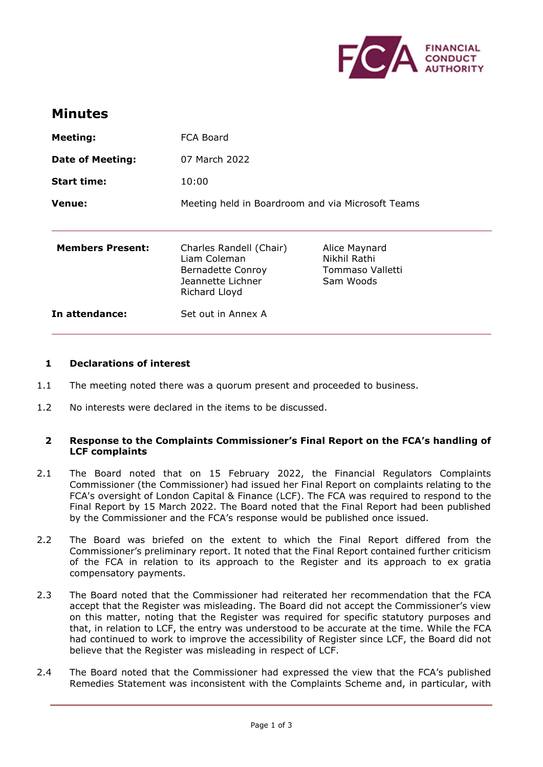

# **Minutes**

| <b>Meeting:</b>         | FCA Board                                                                                          |                                                                |
|-------------------------|----------------------------------------------------------------------------------------------------|----------------------------------------------------------------|
| <b>Date of Meeting:</b> | 07 March 2022                                                                                      |                                                                |
| <b>Start time:</b>      | 10:00                                                                                              |                                                                |
| Venue:                  | Meeting held in Boardroom and via Microsoft Teams                                                  |                                                                |
|                         |                                                                                                    |                                                                |
| <b>Members Present:</b> | Charles Randell (Chair)<br>Liam Coleman<br>Bernadette Conroy<br>Jeannette Lichner<br>Richard Lloyd | Alice Maynard<br>Nikhil Rathi<br>Tommaso Valletti<br>Sam Woods |
| In attendance:          | Set out in Annex A                                                                                 |                                                                |

#### **1 Declarations of interest**

- 1.1 The meeting noted there was a quorum present and proceeded to business.
- 1.2 No interests were declared in the items to be discussed.

### **2 Response to the Complaints Commissioner's Final Report on the FCA's handling of LCF complaints**

- 2.1 The Board noted that on 15 February 2022, the Financial Regulators Complaints Commissioner (the Commissioner) had issued her Final Report on complaints relating to the FCA's oversight of London Capital & Finance (LCF). The FCA was required to respond to the Final Report by 15 March 2022. The Board noted that the Final Report had been published by the Commissioner and the FCA's response would be published once issued.
- 2.2 The Board was briefed on the extent to which the Final Report differed from the Commissioner's preliminary report. It noted that the Final Report contained further criticism of the FCA in relation to its approach to the Register and its approach to ex gratia compensatory payments.
- 2.3 The Board noted that the Commissioner had reiterated her recommendation that the FCA accept that the Register was misleading. The Board did not accept the Commissioner's view on this matter, noting that the Register was required for specific statutory purposes and that, in relation to LCF, the entry was understood to be accurate at the time. While the FCA had continued to work to improve the accessibility of Register since LCF, the Board did not believe that the Register was misleading in respect of LCF.
- 2.4 The Board noted that the Commissioner had expressed the view that the FCA's published Remedies Statement was inconsistent with the Complaints Scheme and, in particular, with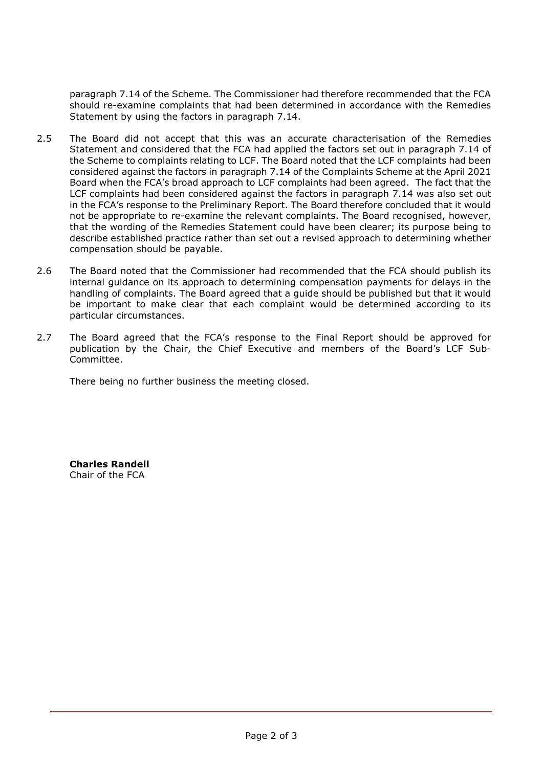paragraph 7.14 of the Scheme. The Commissioner had therefore recommended that the FCA should re-examine complaints that had been determined in accordance with the Remedies Statement by using the factors in paragraph 7.14.

- 2.5 The Board did not accept that this was an accurate characterisation of the Remedies Statement and considered that the FCA had applied the factors set out in paragraph 7.14 of the Scheme to complaints relating to LCF. The Board noted that the LCF complaints had been considered against the factors in paragraph 7.14 of the Complaints Scheme at the April 2021 Board when the FCA's broad approach to LCF complaints had been agreed. The fact that the LCF complaints had been considered against the factors in paragraph 7.14 was also set out in the FCA's response to the Preliminary Report. The Board therefore concluded that it would not be appropriate to re-examine the relevant complaints. The Board recognised, however, that the wording of the Remedies Statement could have been clearer; its purpose being to describe established practice rather than set out a revised approach to determining whether compensation should be payable.
- 2.6 The Board noted that the Commissioner had recommended that the FCA should publish its internal guidance on its approach to determining compensation payments for delays in the handling of complaints. The Board agreed that a guide should be published but that it would be important to make clear that each complaint would be determined according to its particular circumstances.
- 2.7 The Board agreed that the FCA's response to the Final Report should be approved for publication by the Chair, the Chief Executive and members of the Board's LCF Sub-Committee.

There being no further business the meeting closed.

**Charles Randell** Chair of the FCA